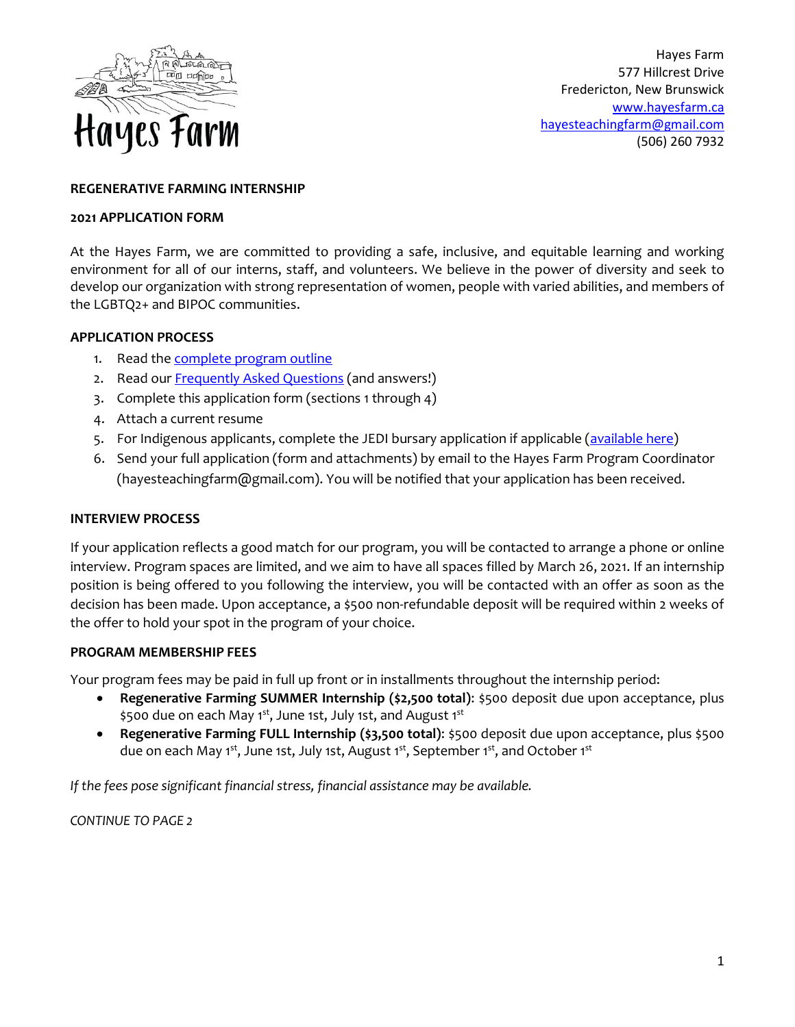

Hayes Farm 577 Hillcrest Drive Fredericton, New Brunswick [www.hayesfarm.ca](file:///C:/Users/CFS/Mirror/Hayes%20Farm%20Coordinator/2020%20Planning/Recruitment%202020/www.hayesfarm.ca) [hayesteachingfarm@gmail.com](mailto:hayesteachingfarm@gmail.com) (506) 260 7932

## **REGENERATIVE FARMING INTERNSHIP**

#### **2021 APPLICATION FORM**

At the Hayes Farm, we are committed to providing a safe, inclusive, and equitable learning and working environment for all of our interns, staff, and volunteers. We believe in the power of diversity and seek to develop our organization with strong representation of women, people with varied abilities, and members of the LGBTQ2+ and BIPOC communities.

### **APPLICATION PROCESS**

- 1. Read the [complete program](https://c2597c02-5d74-4f20-a3ac-a35ce3396d27.filesusr.com/ugd/4be4bc_5cd5ed35baa14bf5a84900c3797e4a49.pdf) outline
- 2. Read our **Frequently Asked Questions** (and answers!)
- 3. Complete this application form (sections 1 through 4)
- 4. Attach a current resume
- 5. For Indigenous applicants, complete the JEDI bursary application if applicable [\(available here\)](https://jedinb.ca/jedi-bursary-applications.html)
- 6. Send your full application (form and attachments) by email to the Hayes Farm Program Coordinator (hayesteachingfarm@gmail.com). You will be notified that your application has been received.

## **INTERVIEW PROCESS**

If your application reflects a good match for our program, you will be contacted to arrange a phone or online interview. Program spaces are limited, and we aim to have all spaces filled by March 26, 2021. If an internship position is being offered to you following the interview, you will be contacted with an offer as soon as the decision has been made. Upon acceptance, a \$500 non-refundable deposit will be required within 2 weeks of the offer to hold your spot in the program of your choice.

### **PROGRAM MEMBERSHIP FEES**

Your program fees may be paid in full up front or in installments throughout the internship period:

- **Regenerative Farming SUMMER Internship (\$2,500 total)**: \$500 deposit due upon acceptance, plus \$500 due on each May 1<sup>st</sup>, June 1st, July 1st, and August 1<sup>st</sup>
- **Regenerative Farming FULL Internship (\$3,500 total)**: \$500 deposit due upon acceptance, plus \$500 due on each May 1<sup>st</sup>, June 1st, July 1st, August 1<sup>st</sup>, September 1<sup>st</sup>, and October 1<sup>st</sup>

*If the fees pose significant financial stress, financial assistance may be available.* 

*CONTINUE TO PAGE 2*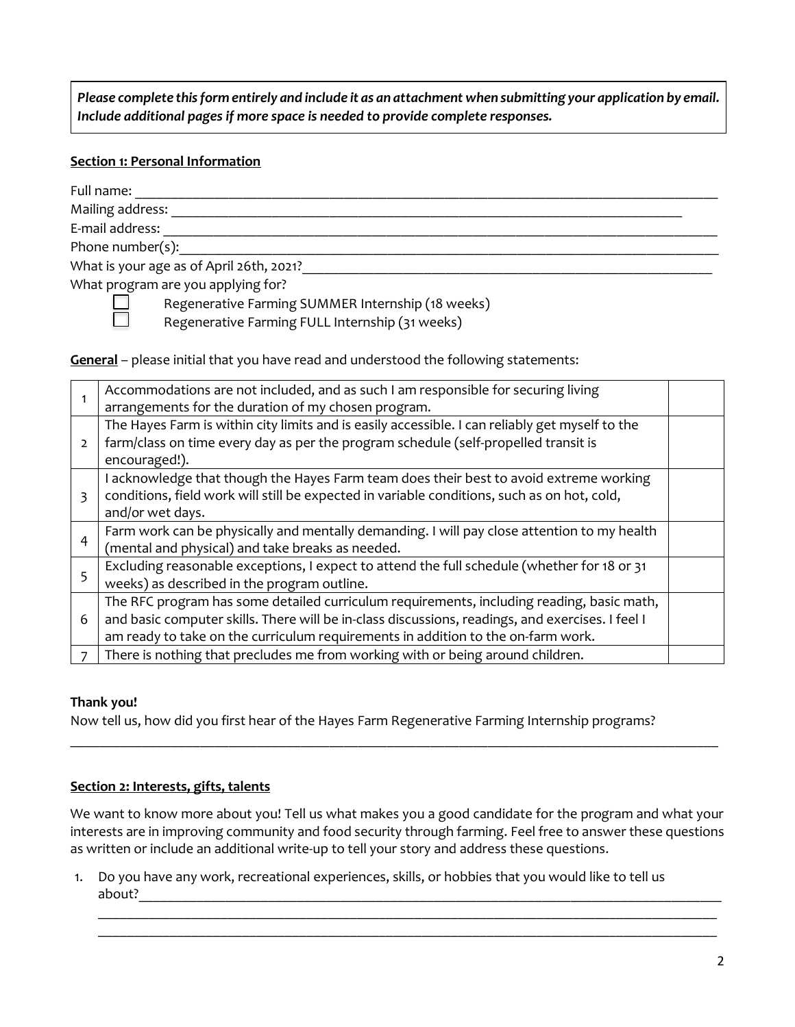*Please complete this form entirely and include it as an attachment when submitting your application by email. Include additional pages if more space is needed to provide complete responses.*

## **Section 1: Personal Information**

П

| Full name:                                        |
|---------------------------------------------------|
| Mailing address:                                  |
| E-mail address:                                   |
| Phone number(s):                                  |
| What is your age as of April 26th, 2021?          |
| What program are you applying for?                |
| Regenerative Farming SUMMER Internship (18 weeks) |

Regenerative Farming SUMMER Internship (18 weeks)

Regenerative Farming FULL Internship (31 weeks)

**General** – please initial that you have read and understood the following statements:

|                | Accommodations are not included, and as such I am responsible for securing living<br>arrangements for the duration of my chosen program.                                                                                                                                          |  |
|----------------|-----------------------------------------------------------------------------------------------------------------------------------------------------------------------------------------------------------------------------------------------------------------------------------|--|
| $\overline{2}$ | The Hayes Farm is within city limits and is easily accessible. I can reliably get myself to the<br>farm/class on time every day as per the program schedule (self-propelled transit is<br>encouraged!).                                                                           |  |
| 3              | I acknowledge that though the Hayes Farm team does their best to avoid extreme working<br>conditions, field work will still be expected in variable conditions, such as on hot, cold,<br>and/or wet days.                                                                         |  |
| $\overline{4}$ | Farm work can be physically and mentally demanding. I will pay close attention to my health<br>(mental and physical) and take breaks as needed.                                                                                                                                   |  |
| 5              | Excluding reasonable exceptions, I expect to attend the full schedule (whether for 18 or 31<br>weeks) as described in the program outline.                                                                                                                                        |  |
| 6              | The RFC program has some detailed curriculum requirements, including reading, basic math,<br>and basic computer skills. There will be in-class discussions, readings, and exercises. I feel I<br>am ready to take on the curriculum requirements in addition to the on-farm work. |  |
|                | There is nothing that precludes me from working with or being around children.                                                                                                                                                                                                    |  |

# **Thank you!**

Now tell us, how did you first hear of the Hayes Farm Regenerative Farming Internship programs?

# **Section 2: Interests, gifts, talents**

We want to know more about you! Tell us what makes you a good candidate for the program and what your interests are in improving community and food security through farming. Feel free to answer these questions as written or include an additional write-up to tell your story and address these questions.

 $\_$  , and the set of the set of the set of the set of the set of the set of the set of the set of the set of the set of the set of the set of the set of the set of the set of the set of the set of the set of the set of th  $\_$  , and the set of the set of the set of the set of the set of the set of the set of the set of the set of the set of the set of the set of the set of the set of the set of the set of the set of the set of the set of th

\_\_\_\_\_\_\_\_\_\_\_\_\_\_\_\_\_\_\_\_\_\_\_\_\_\_\_\_\_\_\_\_\_\_\_\_\_\_\_\_\_\_\_\_\_\_\_\_\_\_\_\_\_\_\_\_\_\_\_\_\_\_\_\_\_\_\_\_\_\_\_\_\_\_\_\_\_\_\_\_\_\_\_\_\_\_\_\_\_\_

1. Do you have any work, recreational experiences, skills, or hobbies that you would like to tell us about?\_\_\_\_\_\_\_\_\_\_\_\_\_\_\_\_\_\_\_\_\_\_\_\_\_\_\_\_\_\_\_\_\_\_\_\_\_\_\_\_\_\_\_\_\_\_\_\_\_\_\_\_\_\_\_\_\_\_\_\_\_\_\_\_\_\_\_\_\_\_\_\_\_\_\_\_\_\_\_\_\_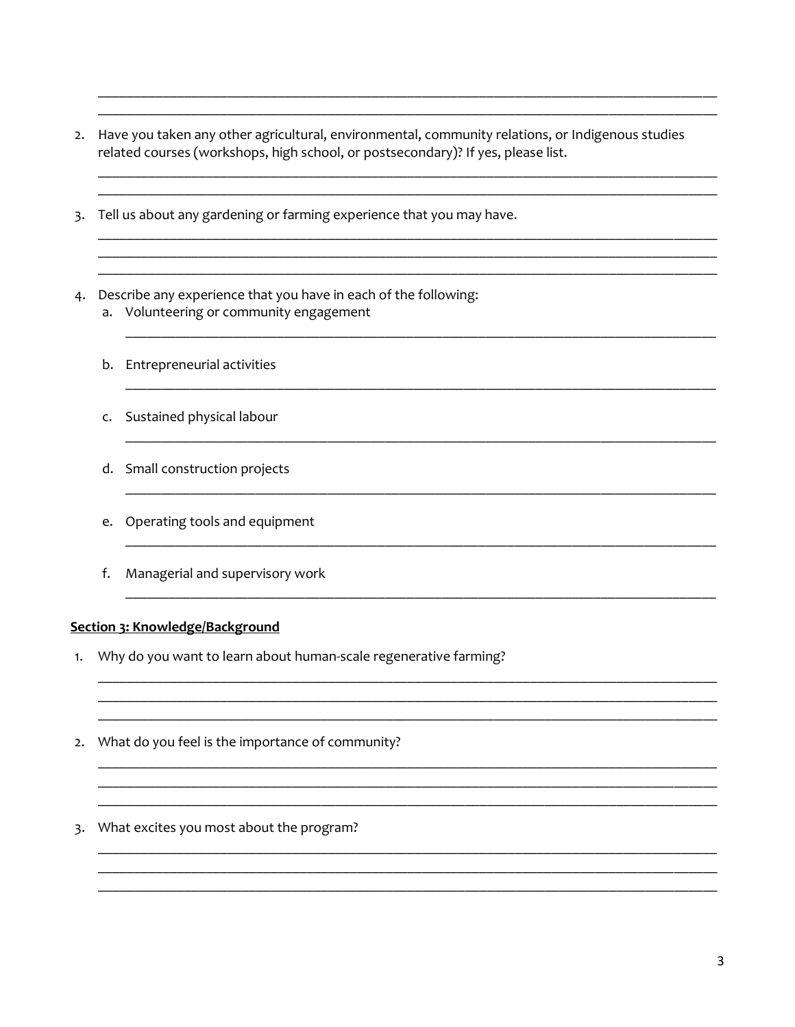- 2. Have you taken any other agricultural, environmental, community relations, or Indigenous studies related courses (workshops, high school, or postsecondary)? If yes, please list.
- 3. Tell us about any gardening or farming experience that you may have.
- 4. Describe any experience that you have in each of the following: a. Volunteering or community engagement
	- b. Entrepreneurial activities
	- c. Sustained physical labour
	- d. Small construction projects
	- e. Operating tools and equipment
	- f. Managerial and supervisory work

## Section 3: Knowledge/Background

1. Why do you want to learn about human-scale regenerative farming?

<u> 1980 - Johann Barn, mars an t-Amerikaansk kommunister (</u>

- 2. What do you feel is the importance of community?
- 3. What excites you most about the program?